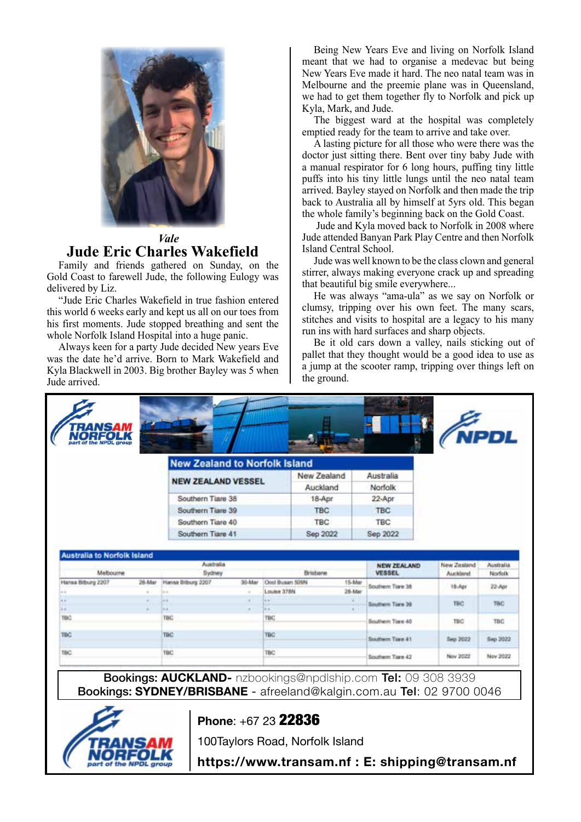

## *Vale* **Jude Eric Charles Wakefield**

Family and friends gathered on Sunday, on the Gold Coast to farewell Jude, the following Eulogy was delivered by Liz.

"Jude Eric Charles Wakefield in true fashion entered this world 6 weeks early and kept us all on our toes from his first moments. Jude stopped breathing and sent the whole Norfolk Island Hospital into a huge panic.

Always keen for a party Jude decided New years Eve was the date he'd arrive. Born to Mark Wakefield and Kyla Blackwell in 2003. Big brother Bayley was 5 when Jude arrived.

Being New Years Eve and living on Norfolk Island meant that we had to organise a medevac but being New Years Eve made it hard. The neo natal team was in Melbourne and the preemie plane was in Queensland, we had to get them together fly to Norfolk and pick up Kyla, Mark, and Jude.

The biggest ward at the hospital was completely emptied ready for the team to arrive and take over.

A lasting picture for all those who were there was the doctor just sitting there. Bent over tiny baby Jude with a manual respirator for 6 long hours, puffing tiny little puffs into his tiny little lungs until the neo natal team arrived. Bayley stayed on Norfolk and then made the trip back to Australia all by himself at 5yrs old. This began the whole family's beginning back on the Gold Coast.

 Jude and Kyla moved back to Norfolk in 2008 where Jude attended Banyan Park Play Centre and then Norfolk Island Central School.

Jude was well known to be the class clown and general stirrer, always making everyone crack up and spreading that beautiful big smile everywhere...

He was always "ama-ula" as we say on Norfolk or clumsy, tripping over his own feet. The many scars, stitches and visits to hospital are a legacy to his many run ins with hard surfaces and sharp objects.

Be it old cars down a valley, nails sticking out of pallet that they thought would be a good idea to use as a jump at the scooter ramp, tripping over things left on the ground.

| <b>NORFOLK</b><br>part of the NPDL group |                     |                                      |                       |                                                    |            |                                     |                         | <b>NPDL</b>          |
|------------------------------------------|---------------------|--------------------------------------|-----------------------|----------------------------------------------------|------------|-------------------------------------|-------------------------|----------------------|
|                                          |                     | <b>New Zealand to Norfolk Island</b> |                       |                                                    |            |                                     |                         |                      |
|                                          |                     |                                      |                       | New Zealand                                        | Australia  |                                     |                         |                      |
|                                          |                     | <b>NEW ZEALAND VESSEL</b>            |                       | Auckland                                           | Norfolk    |                                     |                         |                      |
|                                          |                     | Southern Tiare 38                    |                       | 18-Apr                                             | 22-Apr     |                                     |                         |                      |
|                                          |                     | Southern Tiare 39                    |                       |                                                    | <b>TBC</b> | <b>TBC</b><br><b>TBC</b>            |                         |                      |
|                                          |                     | Southern Tiare 40                    |                       |                                                    | <b>TBC</b> |                                     |                         |                      |
|                                          |                     | Southern Tiare 41                    |                       |                                                    | Sep 2022   | Sep 2022                            |                         |                      |
| <b>Australia to Norfolk Island</b>       |                     |                                      |                       |                                                    |            |                                     |                         |                      |
| Melbourne                                | Australia<br>Sydney |                                      |                       | Brisbane                                           |            | <b>NEW ZEALAND</b><br><b>VESSEL</b> | New Zealand<br>Auckland | Australia<br>Norfolk |
| Hansa Bitburg 2207<br>$\sim$             | 28-Mar<br>٠         | Hansa Biburg 2207<br>in er           | 30-Mar<br>$\alpha$    | Ooci Busan 509N<br>15-Mar<br>Louise 37MV<br>26-Mar |            | Southern Tiare 38                   | 18-Apr                  | 22-Apr               |
| $\frac{1}{2}$                            |                     | in it.                               | ×                     | a w                                                |            | Southern Tixe 39                    | TRO                     | <b>TWC</b>           |
| $\frac{1}{2}$<br>180                     |                     | 44<br>TBC.                           | i di                  | $6 + 1$<br>TBC                                     | $+1$       | Southern Tiare 40                   | TBO                     | TBO                  |
| <b>TBC</b>                               |                     | TBC:<br><b>TBC</b>                   |                       |                                                    |            | Southern Tize 41                    | Sep 2022                | Sep 2022             |
| $-1.11$                                  |                     | <b>STO</b><br><b>TBC</b>             | $\overline{a}$<br>TBC |                                                    |            |                                     |                         |                      |

Bookings: **AUCKLAND-** nzbookings@npdlship.com Tel: 09 308 3939 Bookings: **SYDNEY/BRISBANE** - afreeland@kalgin.com.au Tel: 02 9700 0046



## **Phone**: +67 23 22836

100Taylors Road, Norfolk Island

**https://www.transam.nf : E: shipping@transam.nf**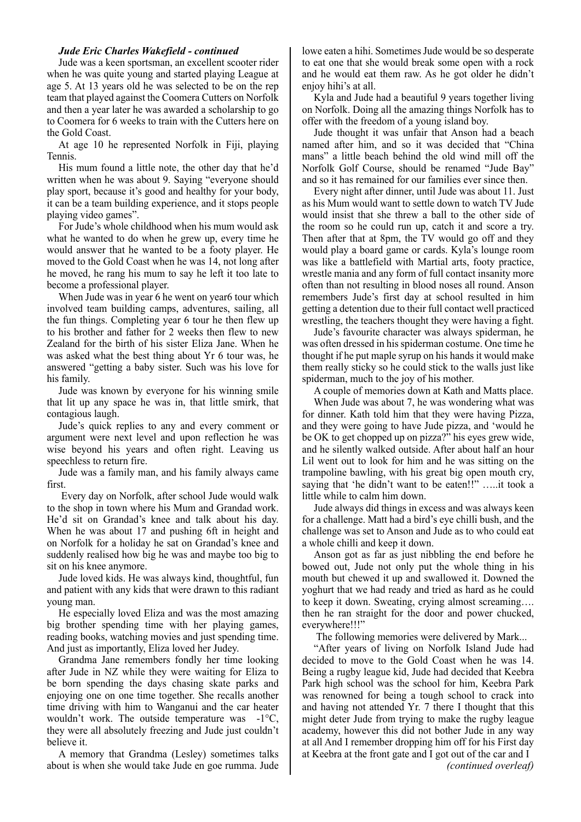## *Jude Eric Charles Wakefield - continued*

Jude was a keen sportsman, an excellent scooter rider when he was quite young and started playing League at age 5. At 13 years old he was selected to be on the rep team that played against the Coomera Cutters on Norfolk and then a year later he was awarded a scholarship to go to Coomera for 6 weeks to train with the Cutters here on the Gold Coast.

At age 10 he represented Norfolk in Fiji, playing Tennis.

His mum found a little note, the other day that he'd written when he was about 9. Saying "everyone should play sport, because it's good and healthy for your body, it can be a team building experience, and it stops people playing video games".

For Jude's whole childhood when his mum would ask what he wanted to do when he grew up, every time he would answer that he wanted to be a footy player. He moved to the Gold Coast when he was 14, not long after he moved, he rang his mum to say he left it too late to become a professional player.

When Jude was in year 6 he went on year6 tour which involved team building camps, adventures, sailing, all the fun things. Completing year 6 tour he then flew up to his brother and father for 2 weeks then flew to new Zealand for the birth of his sister Eliza Jane. When he was asked what the best thing about Yr 6 tour was, he answered "getting a baby sister. Such was his love for his family.

Jude was known by everyone for his winning smile that lit up any space he was in, that little smirk, that contagious laugh.

Jude's quick replies to any and every comment or argument were next level and upon reflection he was wise beyond his years and often right. Leaving us speechless to return fire.

Jude was a family man, and his family always came first.

 Every day on Norfolk, after school Jude would walk to the shop in town where his Mum and Grandad work. He'd sit on Grandad's knee and talk about his day. When he was about 17 and pushing 6ft in height and on Norfolk for a holiday he sat on Grandad's knee and suddenly realised how big he was and maybe too big to sit on his knee anymore.

Jude loved kids. He was always kind, thoughtful, fun and patient with any kids that were drawn to this radiant young man.

He especially loved Eliza and was the most amazing big brother spending time with her playing games, reading books, watching movies and just spending time. And just as importantly, Eliza loved her Judey.

Grandma Jane remembers fondly her time looking after Jude in NZ while they were waiting for Eliza to be born spending the days chasing skate parks and enjoying one on one time together. She recalls another time driving with him to Wanganui and the car heater wouldn't work. The outside temperature was -1°C, they were all absolutely freezing and Jude just couldn't believe it.

A memory that Grandma (Lesley) sometimes talks about is when she would take Jude en goe rumma. Jude

lowe eaten a hihi. Sometimes Jude would be so desperate to eat one that she would break some open with a rock and he would eat them raw. As he got older he didn't enjoy hihi's at all.

Kyla and Jude had a beautiful 9 years together living on Norfolk. Doing all the amazing things Norfolk has to offer with the freedom of a young island boy.

Jude thought it was unfair that Anson had a beach named after him, and so it was decided that "China mans" a little beach behind the old wind mill off the Norfolk Golf Course, should be renamed "Jude Bay" and so it has remained for our families ever since then.

Every night after dinner, until Jude was about 11. Just as his Mum would want to settle down to watch TV Jude would insist that she threw a ball to the other side of the room so he could run up, catch it and score a try. Then after that at 8pm, the TV would go off and they would play a board game or cards. Kyla's lounge room was like a battlefield with Martial arts, footy practice, wrestle mania and any form of full contact insanity more often than not resulting in blood noses all round. Anson remembers Jude's first day at school resulted in him getting a detention due to their full contact well practiced wrestling, the teachers thought they were having a fight.

Jude's favourite character was always spiderman, he was often dressed in his spiderman costume. One time he thought if he put maple syrup on his hands it would make them really sticky so he could stick to the walls just like spiderman, much to the joy of his mother.

A couple of memories down at Kath and Matts place.

When Jude was about 7, he was wondering what was for dinner. Kath told him that they were having Pizza, and they were going to have Jude pizza, and 'would he be OK to get chopped up on pizza?" his eyes grew wide, and he silently walked outside. After about half an hour Lil went out to look for him and he was sitting on the trampoline bawling, with his great big open mouth cry, saying that 'he didn't want to be eaten!!" …..it took a little while to calm him down.

Jude always did things in excess and was always keen for a challenge. Matt had a bird's eye chilli bush, and the challenge was set to Anson and Jude as to who could eat a whole chilli and keep it down.

Anson got as far as just nibbling the end before he bowed out, Jude not only put the whole thing in his mouth but chewed it up and swallowed it. Downed the yoghurt that we had ready and tried as hard as he could to keep it down. Sweating, crying almost screaming…. then he ran straight for the door and power chucked, everywhere!!!"

The following memories were delivered by Mark...

"After years of living on Norfolk Island Jude had decided to move to the Gold Coast when he was 14. Being a rugby league kid, Jude had decided that Keebra Park high school was the school for him, Keebra Park was renowned for being a tough school to crack into and having not attended Yr. 7 there I thought that this might deter Jude from trying to make the rugby league academy, however this did not bother Jude in any way at all And I remember dropping him off for his First day at Keebra at the front gate and I got out of the car and I *(continued overleaf)*